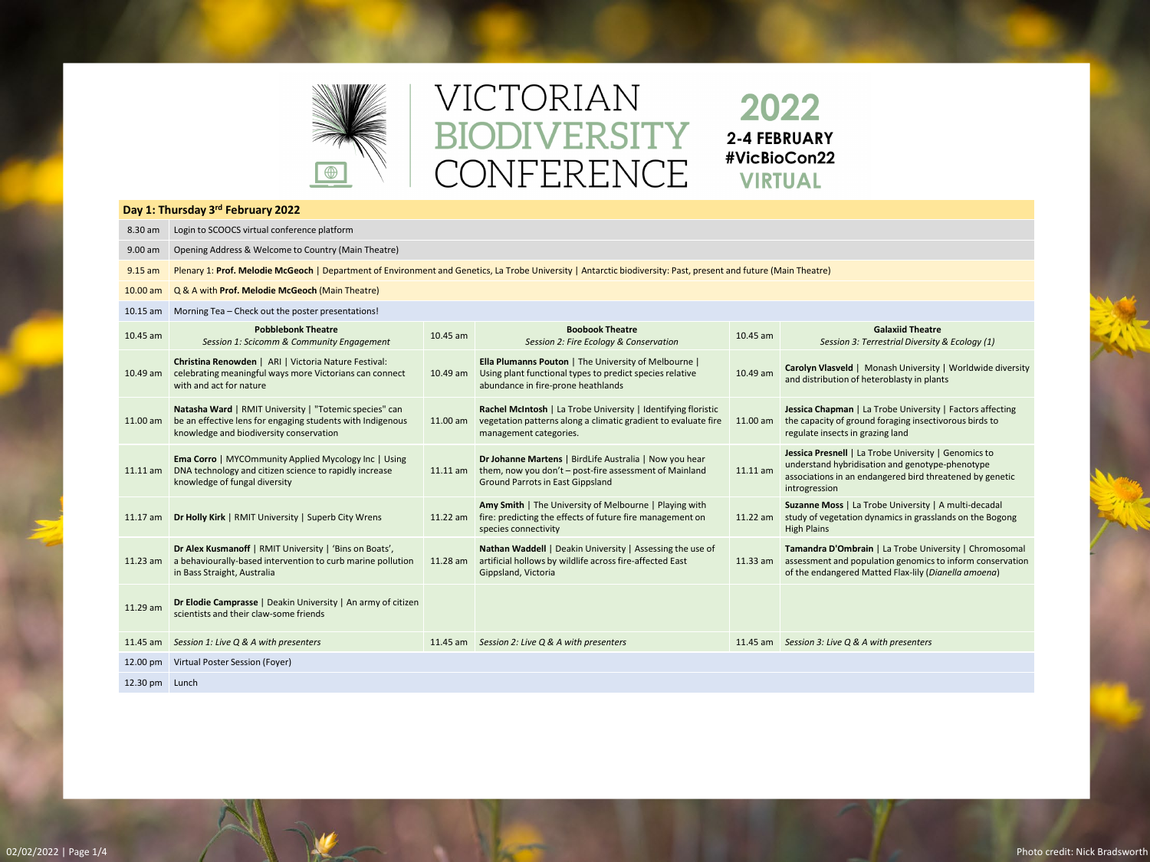

# VICTORIAN BIODIVERSITY CONFERENCE

2022 2-4 FEBRUARY #VicBioCon22 **VIRTUAL** 

> **Suzanne Moss** | La Trobe University | A multi-decadal of vegetation dynamics in grasslands on the Bogong Plains

**Indra D'Ombrain** | La Trobe University | Chromosomal ssment and population genomics to inform conservation e endangered Matted Flax-lily (*Dianella amoena*)

| Day 1: Thursday 3rd February 2022 |                                                                                                                                                                  |            |                                                                                                                                                             |          |                                                                                                                                                                                 |  |  |  |
|-----------------------------------|------------------------------------------------------------------------------------------------------------------------------------------------------------------|------------|-------------------------------------------------------------------------------------------------------------------------------------------------------------|----------|---------------------------------------------------------------------------------------------------------------------------------------------------------------------------------|--|--|--|
| 8.30 am                           | Login to SCOOCS virtual conference platform                                                                                                                      |            |                                                                                                                                                             |          |                                                                                                                                                                                 |  |  |  |
| 9.00 am                           | Opening Address & Welcome to Country (Main Theatre)                                                                                                              |            |                                                                                                                                                             |          |                                                                                                                                                                                 |  |  |  |
| $9.15$ am                         | Plenary 1: Prof. Melodie McGeoch   Department of Environment and Genetics, La Trobe University   Antarctic biodiversity: Past, present and future (Main Theatre) |            |                                                                                                                                                             |          |                                                                                                                                                                                 |  |  |  |
| $10.00$ am                        | Q & A with Prof. Melodie McGeoch (Main Theatre)                                                                                                                  |            |                                                                                                                                                             |          |                                                                                                                                                                                 |  |  |  |
| $10.15$ am                        | Morning Tea - Check out the poster presentations!                                                                                                                |            |                                                                                                                                                             |          |                                                                                                                                                                                 |  |  |  |
| 10.45 am                          | <b>Pobblebonk Theatre</b><br>Session 1: Scicomm & Community Engagement                                                                                           | 10.45 am   | <b>Boobook Theatre</b><br>Session 2: Fire Ecology & Conservation                                                                                            | 10.45 am | <b>Galaxiid Theatre</b><br>Session 3: Terrestrial Diversity & Ecology (1,                                                                                                       |  |  |  |
| $10.49$ am                        | Christina Renowden   ARI   Victoria Nature Festival:<br>celebrating meaningful ways more Victorians can connect<br>with and act for nature                       | 10.49 am   | Ella Plumanns Pouton   The University of Melbourne  <br>Using plant functional types to predict species relative<br>abundance in fire-prone heathlands      | 10.49 am | Carolyn Vlasveld   Monash University   Worldwide<br>and distribution of heteroblasty in plants                                                                                  |  |  |  |
| $11.00$ am                        | Natasha Ward   RMIT University   "Totemic species" can<br>be an effective lens for engaging students with Indigenous<br>knowledge and biodiversity conservation  | 11.00 am   | Rachel McIntosh   La Trobe University   Identifying floristic<br>vegetation patterns along a climatic gradient to evaluate fire<br>management categories.   | 11.00 am | Jessica Chapman   La Trobe University   Factors affe<br>the capacity of ground foraging insectivorous birds t<br>regulate insects in grazing land                               |  |  |  |
| $11.11$ am                        | <b>Ema Corro   MYCOmmunity Applied Mycology Inc   Using</b><br>DNA technology and citizen science to rapidly increase<br>knowledge of fungal diversity           | $11.11$ am | Dr Johanne Martens   BirdLife Australia   Now you hear<br>them, now you don't - post-fire assessment of Mainland<br><b>Ground Parrots in East Gippsland</b> | 11.11 am | Jessica Presnell   La Trobe University   Genomics to<br>understand hybridisation and genotype-phenotype<br>associations in an endangered bird threatened by ge<br>introgression |  |  |  |
| $11.17$ am                        | Dr Holly Kirk   RMIT University   Superb City Wrens                                                                                                              | 11.22 am   | Amy Smith   The University of Melbourne   Playing with<br>fire: predicting the effects of future fire management on<br>species connectivity                 | 11.22 am | Suzanne Moss   La Trobe University   A multi-decaded<br>study of vegetation dynamics in grasslands on the Be<br><b>High Plains</b>                                              |  |  |  |
| $11.23$ am                        | Dr Alex Kusmanoff   RMIT University   'Bins on Boats',<br>a behaviourally-based intervention to curb marine pollution<br>in Bass Straight, Australia             | 11.28 am   | Nathan Waddell   Deakin University   Assessing the use of<br>artificial hollows by wildlife across fire-affected East<br>Gippsland, Victoria                | 11.33 am | Tamandra D'Ombrain   La Trobe University   Chron<br>assessment and population genomics to inform cons<br>of the endangered Matted Flax-lily (Dianella amoene                    |  |  |  |
| 11.29 am                          | Dr Elodie Camprasse   Deakin University   An army of citizen<br>scientists and their claw-some friends                                                           |            |                                                                                                                                                             |          |                                                                                                                                                                                 |  |  |  |
| $11.45$ am                        | Session 1: Live Q & A with presenters                                                                                                                            | $11.45$ am | Session 2: Live Q & A with presenters                                                                                                                       | 11.45 am | Session 3: Live Q & A with presenters                                                                                                                                           |  |  |  |
| 12.00 pm                          | Virtual Poster Session (Foyer)                                                                                                                                   |            |                                                                                                                                                             |          |                                                                                                                                                                                 |  |  |  |
| 12.30 pm Lunch                    |                                                                                                                                                                  |            |                                                                                                                                                             |          |                                                                                                                                                                                 |  |  |  |

**yn Vlasveld** | Monash University | Worldwide diversity listribution of heteroblasty in plants

ca Chapman | La Trobe University | Factors affecting apacity of ground foraging insectivorous birds to late insects in grazing land

**Ca Presnell** | La Trobe University | Genomics to rstand hybridisation and genotype-phenotype ciations in an endangered bird threatened by genetic gression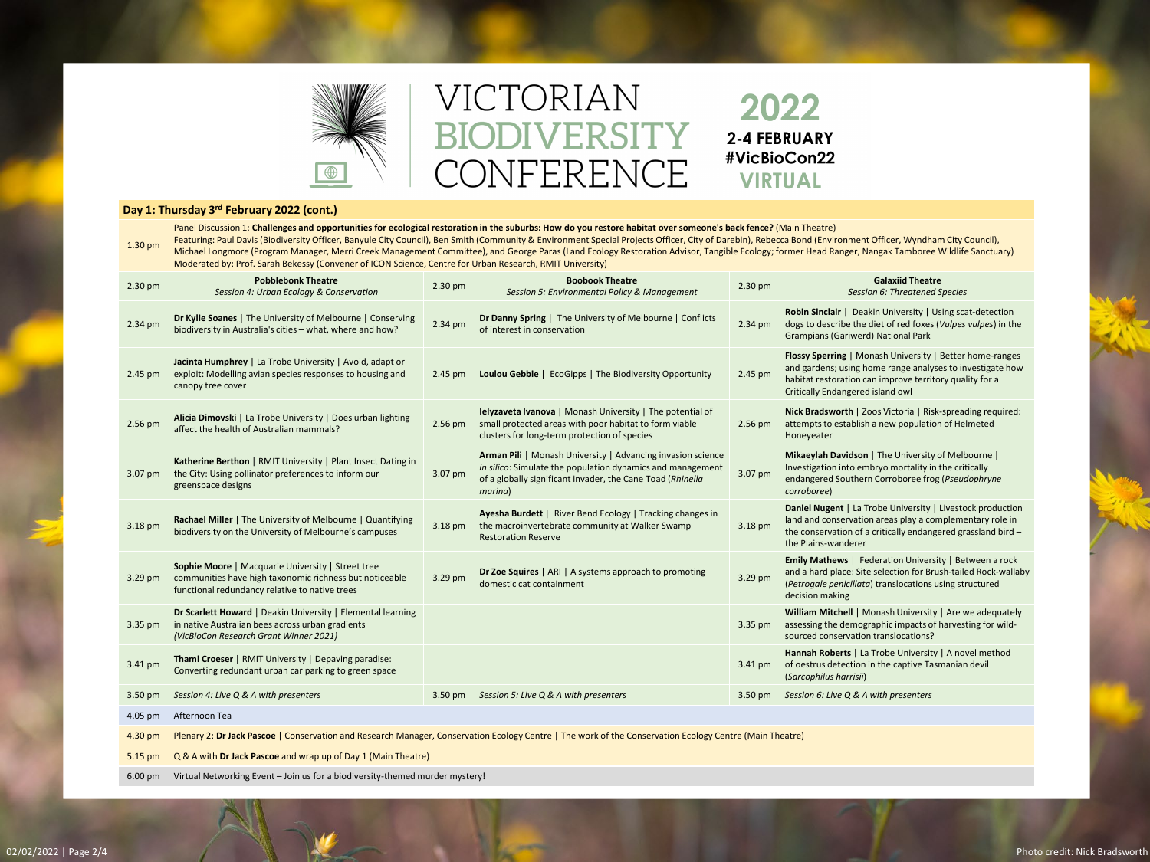

# VICTORIAN BIODIVERSITY CONFERENCE

#### **Day 1: Thursday 3rd February 2022 (cont.)**

1.30 pm Panel Discussion 1: **Challenges and opportunities for ecological restoration in the suburbs: How do you restore habitat over someone's back fence?** (Main Theatre) Featuring: Paul Davis (Biodiversity Officer, Banyule City Council), Ben Smith (Community & Environment Special Projects Officer, City of Darebin), Rebecca Bond (Environment Officer, Wyndham City Council), Michael Longmore (Program Manager, Merri Creek Management Committee), and George Paras (Land Ecology Restoration Advisor, Tangible Ecology; former Head Ranger, Nangak Tamboree Wildlife Sanctuary) Moderated by: Prof. Sarah Bekessy (Convener of ICON Science, Centre for Urban Research, RMIT University)

### *Session 6: Threatened Species*

**Sinclair** | Deakin University | Using scat-detection to describe the diet of red foxes (*Vulpes vulpes*) in the pians (Gariwerd) National Park

**Sperring | Monash University | Better home-ranges** ardens; using home range analyses to investigate how at restoration can improve territory quality for a ally Endangered island owl

**Bradsworth** | Zoos Victoria | Risk-spreading required: pts to establish a new population of Helmeted <sub>V</sub>eater

**Wigh Davidson** | The University of Melbourne | tigation into embryo mortality in the critically **gered Southern Corroboree frog (Pseudophryne** *corroboree*)

**Nugent** | La Trobe University | Livestock production Ind conservation areas play a complementary role in onservation of a critically endangered grassland bird  $$ ains-wanderer

**Mathews** | Federation University | Between a rock hard place: Site selection for Brush-tailed Rock-wallaby (*Petrogale penicillata*) translocations using structured on making

**m Mitchell** | Monash University | Are we adequately sing the demographic impacts of harvesting for wilded conservation translocations?

**ah Roberts** | La Trobe University | A novel method strus detection in the captive Tasmanian devil (*Sarcophilus harrisii*)

| <b>Pobblebonk Theatre</b><br>Session 4: Urban Ecology & Conservation                                                                                                  | 2.30 pm   | <b>Boobook Theatre</b><br>Session 5: Environmental Policy & Management                                                                                                                             | 2.30 pm                                       | <b>Galaxiid Theatre</b><br>Session 6: Threatened !                                                                                                                          |
|-----------------------------------------------------------------------------------------------------------------------------------------------------------------------|-----------|----------------------------------------------------------------------------------------------------------------------------------------------------------------------------------------------------|-----------------------------------------------|-----------------------------------------------------------------------------------------------------------------------------------------------------------------------------|
| Dr Kylie Soanes   The University of Melbourne   Conserving<br>biodiversity in Australia's cities - what, where and how?                                               | 2.34 pm   | Dr Danny Spring   The University of Melbourne   Conflicts<br>of interest in conservation                                                                                                           | 2.34 pm                                       | Robin Sinclair   Deakin University   Us<br>dogs to describe the diet of red foxes (<br><b>Grampians (Gariwerd) National Park</b>                                            |
| Jacinta Humphrey   La Trobe University   Avoid, adapt or<br>exploit: Modelling avian species responses to housing and<br>canopy tree cover                            | 2.45 pm   | <b>Loulou Gebbie</b>   EcoGipps   The Biodiversity Opportunity                                                                                                                                     | 2.45 pm                                       | <b>Flossy Sperring   Monash University  </b><br>and gardens; using home range analyse<br>habitat restoration can improve territo<br><b>Critically Endangered island owl</b> |
| Alicia Dimovski   La Trobe University   Does urban lighting<br>affect the health of Australian mammals?                                                               | $2.56$ pm | <b>Ielyzaveta Ivanova</b>   Monash University   The potential of<br>small protected areas with poor habitat to form viable<br>clusters for long-term protection of species                         | $2.56$ pm                                     | Nick Bradsworth   Zoos Victoria   Risk<br>attempts to establish a new population<br>Honeyeater                                                                              |
| Katherine Berthon   RMIT University   Plant Insect Dating in<br>the City: Using pollinator preferences to inform our<br>greenspace designs                            | 3.07 pm   | Arman Pili   Monash University   Advancing invasion science<br>in silico: Simulate the population dynamics and management<br>of a globally significant invader, the Cane Toad (Rhinella<br>marina) | 3.07 pm                                       | Mikaeylah Davidson   The University of<br>Investigation into embryo mortality in<br>endangered Southern Corroboree frog<br>corroboree)                                      |
| Rachael Miller   The University of Melbourne   Quantifying<br>biodiversity on the University of Melbourne's campuses                                                  | 3.18 pm   | Ayesha Burdett   River Bend Ecology   Tracking changes in<br>the macroinvertebrate community at Walker Swamp<br><b>Restoration Reserve</b>                                                         | 3.18 pm                                       | Daniel Nugent   La Trobe University  <br>land and conservation areas play a con<br>the conservation of a critically endange<br>the Plains-wanderer                          |
| <b>Sophie Moore   Macquarie University   Street tree</b><br>communities have high taxonomic richness but noticeable<br>functional redundancy relative to native trees | 3.29 pm   | Dr Zoe Squires   ARI   A systems approach to promoting<br>domestic cat containment                                                                                                                 | 3.29 pm                                       | <b>Emily Mathews   Federation University</b><br>and a hard place: Site selection for Bru<br>(Petrogale penicillata) translocations u<br>decision making                     |
| Dr Scarlett Howard   Deakin University   Elemental learning<br>in native Australian bees across urban gradients<br>(VicBioCon Research Grant Winner 2021)             |           |                                                                                                                                                                                                    | 3.35 pm                                       | <b>William Mitchell   Monash University</b><br>assessing the demographic impacts of<br>sourced conservation translocations?                                                 |
| Thami Croeser   RMIT University   Depaving paradise:<br>Converting redundant urban car parking to green space                                                         |           |                                                                                                                                                                                                    | 3.41 pm                                       | Hannah Roberts   La Trobe University<br>of oestrus detection in the captive Tası<br>(Sarcophilus harrisii)                                                                  |
| Session 4: Live Q & A with presenters                                                                                                                                 |           |                                                                                                                                                                                                    | 3.50 pm                                       | Session 6: Live Q & A with presenters                                                                                                                                       |
| Afternoon Tea                                                                                                                                                         |           |                                                                                                                                                                                                    |                                               |                                                                                                                                                                             |
| Plenary 2: Dr Jack Pascoe   Conservation and Research Manager, Conservation Ecology Centre   The work of the Conservation Ecology Centre (Main Theatre)               |           |                                                                                                                                                                                                    |                                               |                                                                                                                                                                             |
| Q & A with Dr Jack Pascoe and wrap up of Day 1 (Main Theatre)                                                                                                         |           |                                                                                                                                                                                                    |                                               |                                                                                                                                                                             |
|                                                                                                                                                                       |           |                                                                                                                                                                                                    | 3.50 pm Session 5: Live Q & A with presenters |                                                                                                                                                                             |

6.00 pm Virtual Networking Event – Join us for a biodiversity-themed murder mystery!

## 2022 **2-4 FEBRUARY** #VicBioCon22 **VIRTUAL**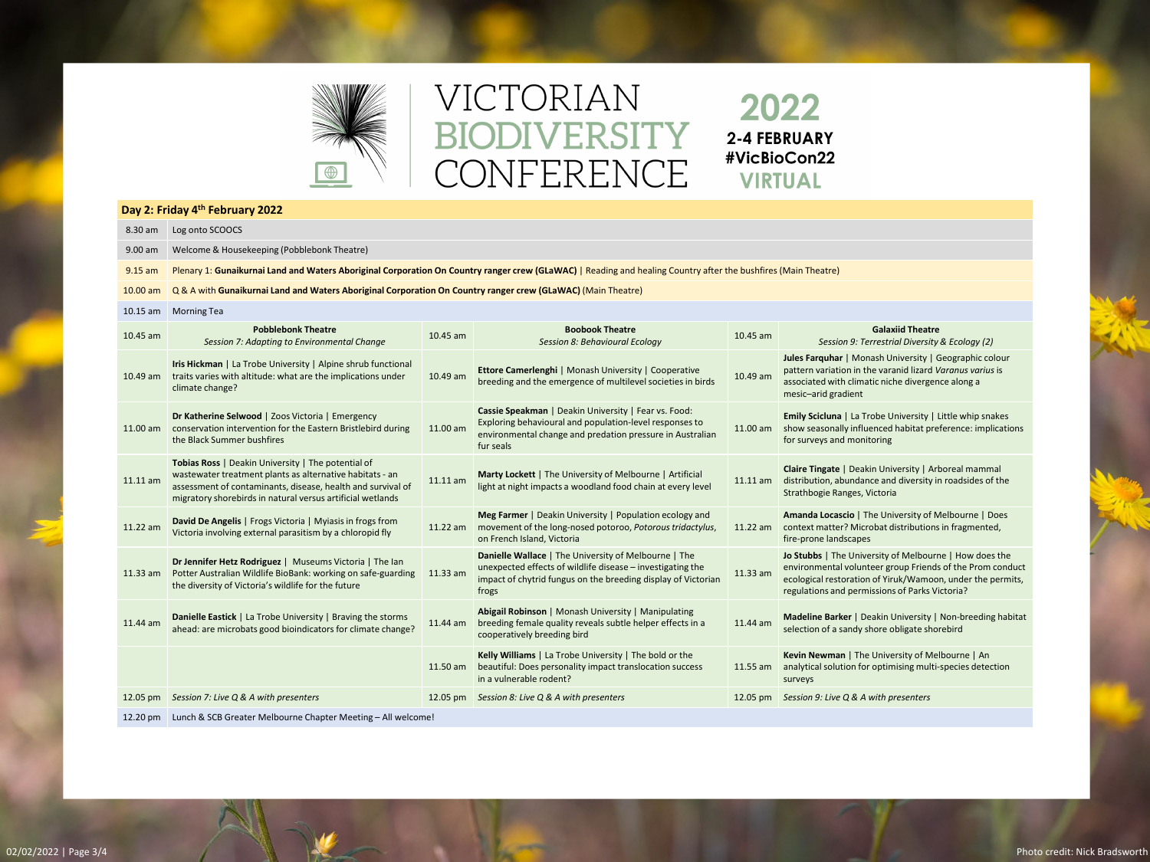

# VICTORIAN BIODIVERSITY CONFERENCE

**Day 2: Friday 4th February 2022** 8.30 am Log onto SCOOCS 9.00 am Welcome & Housekeeping (Pobblebonk Theatre) 9.15 am Plenary 1: Gunaikurnai Land and Waters Aboriginal Corporation On Country ranger crew (GLaWAC) | Reading and healing Country after the bushfires (Main Theatre) 10.00 am Q & A with **Gunaikurnai Land and Waters Aboriginal Corporation On Country ranger crew (GLaWAC)** (Main Theatre) 10.15 am Morning Tea 10.45 am **Pobblebonk Theatre Pobblebonk Theatre Session 7: Adapting to Environmental Change 10.45 am Boobook Theatre Session 8: Behavioural Equation Boobook Theatre 6: Boobook Theatre**<br>Session 8: Behavioural Ecology 10.45 am Session 9: Terrestrial Diversity *Session 9: Terrestrial Diversity & Ecology (2)* 10.49 am traits varies with altitude: what are the implications under **Iris Hickman** | La Trobe University | Alpine shrub functional climate change? 10.49 am **Ettore Camerlenghi** | Monash University | Cooperative **breeding and the emergence of multilevel societies in birds** 10.49 am **Jules Farquhar** | Monash University | Geographic colour pattern variation in the varanid lizard *Varanus varius* is associated with climatic niche divergence along a mesic–arid gradient 11.00 am **Dr Katherine Selwood** | Zoos Victoria | Emergency conservation intervention for the Eastern Bristlebird during the Black Summer bushfires 11.00 am **Cassie Speakman** | Deakin University | Fear vs. Food: Exploring behavioural and population-level responses to environmental change and predation pressure in Australian fur seals 11.00 am **Emily Scicluna** | La Trobe University | Little whip snakes show seasonally influenced habitat preference: implications for surveys and monitoring 11.11 am **Tobias Ross** | Deakin University | The potential of wastewater treatment plants as alternative habitats - an assessment of contaminants, disease, health and survival of migratory shorebirds in natural versus artificial wetlands 11.11 am **Marty Lockett** | The University of Melbourne | Artificial light at night impacts a woodland food chain at every level  $11.11 \text{ am}$ **Claire Tingate** | Deakin University | Arboreal mammal distribution, abundance and diversity in roadsides of the Strathbogie Ranges, Victoria 11.22 am **David De Angelis** | Frogs Victoria | Myiasis in frogs from **David De Angells** | Frogs victoria | liviyiasis in mogs nomi<br>Victoria involving external parasitism by a chloropid fly **11.22** am **Meg Farmer** | Deakin University | Population ecology and movement of the long-nosed potoroo, *Potorous tridactylus*, on French Island, Victoria 11.22 am **Amanda Locascio** | The University of Melbourne | Does context matter? Microbat distributions in fragmented, fire-prone landscapes 11.33 am **Dr Jennifer Hetz Rodriguez** | Museums Victoria | The Ian Potter Australian Wildlife BioBank: working on safe-guarding the diversity of Victoria's wildlife for the future 11.33 am **Danielle Wallace** | The University of Melbourne | The unexpected effects of wildlife disease – investigating the impact of chytrid fungus on the breeding display of Victorian frogs 11.33 am **Jo Stubbs** | The University of Melbourne | How does the environmental volunteer group Friends of the Prom conduct ecological restoration of Yiruk/Wamoon, under the permits, regulations and permissions of Parks Victoria? 11.44 am **Danielle Eastick** | La Trobe University | Braving the storms ahead: are microbats good bioindicators for climate change? **Abigail Robinson** | Monash University | Manipulating 11.44 am breeding female quality reveals subtle helper effects in a cooperatively breeding bird 11.44 am **Madeline Barker** | Deakin University | Non-breeding habitat selection of a sandy shore obligate shorebird 11.50 am **Kelly Williams** | La Trobe University | The bold or the beautiful: Does personality impact translocation success in a vulnerable rodent? 11.55 am **Kevin Newman** | The University of Melbourne | An analytical solution for optimising multi-species detection surveys 12.05 pm *Session 7: Live Q & A with presenters* 12.05 pm *Session 8: Live Q & A with presenters* 12.05 pm *Session 9: Live Q & A with presenters*

12.20 pm Lunch & SCB Greater Melbourne Chapter Meeting – All welcome!

## 2022 2-4 FEBRUARY #VicBioCon22 **VIRTUAL**